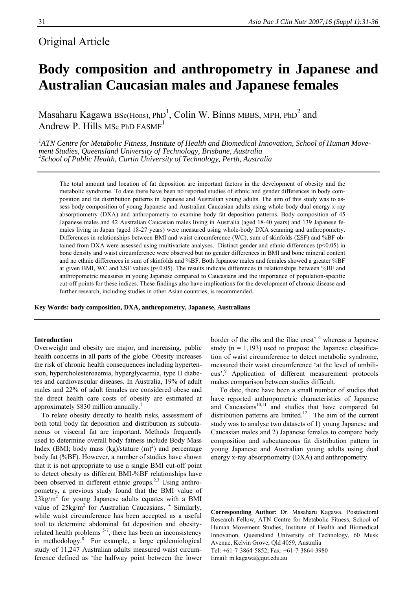# Original Article

# **Body composition and anthropometry in Japanese and Australian Caucasian males and Japanese females**

Masaharu Kagawa BSc(Hons), PhD<sup>1</sup>, Colin W. Binns MBBS, MPH, PhD<sup>2</sup> and Andrew P. Hills MSc PhD FASMF<sup>1</sup>

*1 ATN Centre for Metabolic Fitness, Institute of Health and Biomedical Innovation, School of Human Movement Studies, Queensland University of Technology, Brisbane, Australia <sup>2</sup> School of Public Health, Curtin University of Technology, Perth, Australia* 

The total amount and location of fat deposition are important factors in the development of obesity and the metabolic syndrome. To date there have been no reported studies of ethnic and gender differences in body composition and fat distribution patterns in Japanese and Australian young adults. The aim of this study was to assess body composition of young Japanese and Australian Caucasian adults using whole-body dual energy x-ray absorptiometry (DXA) and anthropometry to examine body fat deposition patterns. Body composition of 45 Japanese males and 42 Australian Caucasian males living in Australia (aged 18-40 years) and 139 Japanese females living in Japan (aged 18-27 years) were measured using whole-body DXA scanning and anthropometry. Differences in relationships between BMI and waist circumference (WC), sum of skinfolds (ΣSF) and %BF obtained from DXA were assessed using multivariate analyses. Distinct gender and ethnic differences (*p*<0.05) in bone density and waist circumference were observed but no gender differences in BMI and bone mineral content and no ethnic differences in sum of skinfolds and %BF. Both Japanese males and females showed a greater %BF at given BMI, WC and ΣSF values (*p*<0.05). The results indicate differences in relationships between %BF and anthropometric measures in young Japanese compared to Caucasians and the importance of population-specific cut-off points for these indices. These findings also have implications for the development of chronic disease and further research, including studies in other Asian countries, is recommended.

**Key Words: body composition, DXA, anthropometry, Japanese, Australians** 

# **Introduction**

Overweight and obesity are major, and increasing, public health concerns in all parts of the globe. Obesity increases the risk of chronic health consequences including hypertension, hypercholesteroaemia, hyperglycaemia, type II diabetes and cardiovascular diseases. In Australia, 19% of adult males and 22% of adult females are considered obese and the direct health care costs of obesity are estimated at approximately \$830 million annually.<sup>1</sup>

 To relate obesity directly to health risks, assessment of both total body fat deposition and distribution as subcutaneous or visceral fat are important. Methods frequently used to determine overall body fatness include Body Mass Index (BMI; body mass  $(kg)/stature (m)<sup>2</sup>$ ) and percentage body fat (%BF). However, a number of studies have shown that it is not appropriate to use a single BMI cut-off point to detect obesity as different BMI-%BF relationships have been observed in different ethnic groups.<sup>2,3</sup> Using anthropometry, a previous study found that the BMI value of  $23\text{kg/m}^2$  for young Japanese adults equates with a BMI value of  $25\text{kg/m}^2$  for Australian Caucasians.  $4$  Similarly, while waist circumference has been accepted as a useful tool to determine abdominal fat deposition and obesityrelated health problems  $5-7$ , there has been an inconsistency in methodology.<sup>8</sup> For example, a large epidemiological study of 11,247 Australian adults measured waist circumference defined as 'the halfway point between the lower

border of the ribs and the iliac crest' <sup>6</sup> whereas a Japanese study ( $n = 1,193$ ) used to propose the Japanese classification of waist circumference to detect metabolic syndrome, measured their waist circumference 'at the level of umbilicus'.<sup>9</sup> Application of different measurement protocols makes comparison between studies difficult.

 To date, there have been a small number of studies that have reported anthropometric characteristics of Japanese and Caucasians $10,11$  and studies that have compared fat distribution patterns are limited.<sup>12</sup> The aim of the current study was to analyse two datasets of 1) young Japanese and Caucasian males and 2) Japanese females to compare body composition and subcutaneous fat distribution pattern in young Japanese and Australian young adults using dual energy x-ray absorptiometry (DXA) and anthropometry.

**Corresponding Author:** Dr. Masaharu Kagawa, Postdoctoral Research Fellow, ATN Centre for Metabolic Fitness, School of Human Movement Studies, Institute of Health and Biomedical Innovation, Queensland University of Technology, 60 Musk Avenue, Kelvin Grove, Qld 4059, Australia Tel: +61-7-3864-5852; Fax: +61-7-3864-3980 Email: m.kagawa@qut.edu.au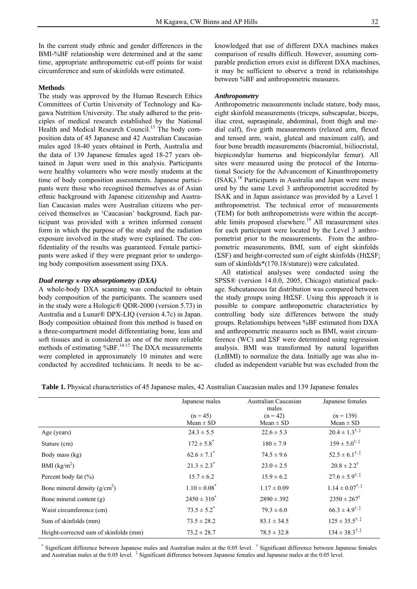In the current study ethnic and gender differences in the BMI-%BF relationship were determined and at the same time, appropriate anthropometric cut-off points for waist circumference and sum of skinfolds were estimated.

# **Methods**

The study was approved by the Human Research Ethics Committees of Curtin University of Technology and Kagawa Nutrition University. The study adhered to the principles of medical research established by the National Health and Medical Research Council.<sup>13</sup> The body composition data of 45 Japanese and 42 Australian Caucasian males aged 18-40 years obtained in Perth, Australia and the data of 139 Japanese females aged 18-27 years obtained in Japan were used in this analysis. Participants were healthy volunteers who were mostly students at the time of body composition assessments. Japanese participants were those who recognised themselves as of Asian ethnic background with Japanese citizenship and Australian Caucasian males were Australian citizens who perceived themselves as 'Caucasian' background. Each participant was provided with a written informed consent form in which the purpose of the study and the radiation exposure involved in the study were explained. The confidentiality of the results was guaranteed. Female participants were asked if they were pregnant prior to undergoing body composition assessment using DXA.

# *Dual energy x-ray absorptiometry (DXA)*

A whole-body DXA scanning was conducted to obtain body composition of the participants. The scanners used in the study were a Hologic® QDR-2000 (version 5.73) in Australia and a Lunar® DPX-LIQ (version 4.7c) in Japan. Body composition obtained from this method is based on a three-compartment model differentiating bone, lean and soft tissues and is considered as one of the more reliable methods of estimating %BF.<sup>14-17</sup> The DXA measurements were completed in approximately 10 minutes and were conducted by accredited technicians. It needs to be ac-

knowledged that use of different DXA machines makes comparison of results difficult. However, assuming comparable prediction errors exist in different DXA machines, it may be sufficient to observe a trend in relationships between %BF and anthropometric measures.

#### *Anthropometry*

Anthropometric measurements include stature, body mass, eight skinfold measurements (triceps, subscapular, biceps, iliac crest, supraspinale, abdominal, front thigh and medial calf), five girth measurements (relaxed arm, flexed and tensed arm, waist, gluteal and maximum calf), and four bone breadth measurements (biacromial, biiliocristal, biepicondylar humerus and biepicondylar femur). All sites were measured using the protocol of the International Society for the Advancement of Kinanthropometry (ISAK).18 Participants in Australia and Japan were measured by the same Level 3 anthropometrist accredited by ISAK and in Japan assistance was provided by a Level 1 anthropometrist. The technical error of measurements (TEM) for both anthropometrists were within the acceptable limits proposed elsewhere.<sup>19</sup> All measurement sites for each participant were located by the Level 3 anthropometrist prior to the measurements. From the anthropometric measurements, BMI, sum of eight skinfolds (ΣSF) and height-corrected sum of eight skinfolds (HtΣSF; sum of skinfolds\*(170.18/stature)) were calculated.

 All statistical analyses were conducted using the SPSS® (version 14.0.0, 2005, Chicago) statistical package. Subcutaneous fat distribution was compared between the study groups using HtΣSF. Using this approach it is possible to compare anthropometric characteristics by controlling body size differences between the study groups. Relationships between %BF estimated from DXA and anthropometric measures such as BMI, waist circumference (WC) and  $\Sigma$ SF were determined using regression analysis. BMI was transformed by natural logarithm (LnBMI) to normalize the data. Initially age was also included as independent variable but was excluded from the

**Table 1.** Physical characteristics of 45 Japanese males, 42 Australian Caucasian males and 139 Japanese females

|                                        | Japanese males              | Australian Caucasian                 | Japanese females                  |
|----------------------------------------|-----------------------------|--------------------------------------|-----------------------------------|
|                                        | $(n = 45)$<br>$Mean \pm SD$ | males<br>$(n = 42)$<br>$Mean \pm SD$ | $(n = 139)$<br>$Mean \pm SD$      |
| Age (years)                            | $24.3 \pm 5.5$              | $22.6 \pm 5.3$                       | $20.4 \pm 1.3^{\dagger,\ddagger}$ |
| Stature (cm)                           | $172 \pm 5.8$ <sup>*</sup>  | $180 \pm 7.9$                        | $159 \pm 5.0^{\dagger.1}$         |
| Body mass (kg)                         | $62.6 \pm 7.1$ <sup>*</sup> | $74.5 \pm 9.6$                       | $52.5 \pm 6.1^{\dagger,\ddagger}$ |
| BMI $(kg/m2)$                          | $21.3 \pm 2.3$ <sup>*</sup> | $23.0 \pm 2.5$                       | $20.8 \pm 2.2^{\dagger}$          |
| Percent body fat $(\% )$               | $15.7 \pm 6.2$              | $15.9 \pm 6.2$                       | $27.6 \pm 5.9^{\dagger,\ddag}$    |
| Bone mineral density $(g/cm2)$         | $1.10 \pm 0.08^*$           | $1.17 \pm 0.09$                      | $1.14 \pm 0.07^{\dagger,\ddag}$   |
| Bone mineral content (g)               | $2450 \pm 310^*$            | $2890 \pm 392$                       | $2350 \pm 267^{\dagger}$          |
| Waist circumference (cm)               | $73.5 \pm 5.2^*$            | $79.3 \pm 6.0$                       | $66.3 \pm 4.9^{\dagger,\ddag}$    |
| Sum of skinfolds (mm)                  | $73.5 \pm 28.2$             | $83.1 \pm 34.5$                      | $125 \pm 35.5^{\dagger, \ddag}$   |
| Height-corrected sum of skinfolds (mm) | $73.2 \pm 28.7$             | $78.5 \pm 32.8$                      | $134 \pm 38.3^{\dagger,\ddagger}$ |

\* Significant difference between Japanese males and Australian males at the 0.05 level. <sup>†</sup> Significant difference between Japanese females and Australian males at the 0.05 level. <sup>‡</sup> Significant difference between Japanese females and Japanese males at the 0.05 level.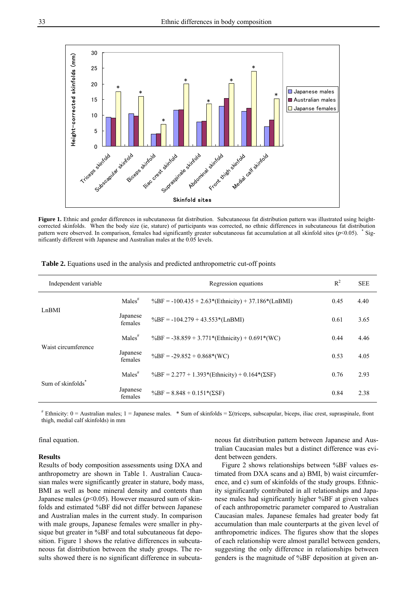

Figure 1. Ethnic and gender differences in subcutaneous fat distribution. Subcutaneous fat distribution pattern was illustrated using heightcorrected skinfolds. When the body size (ie, stature) of participants was corrected, no ethnic differences in subcutaneous fat distribution pattern were observed. In comparison, females had significantly greater subcutaneous fat accumulation at all skinfold sites (*p*<0.05). <sup>\*</sup> Significantly different with Japanese and Australian males at the 0.05 levels.

| Independent variable          |                     | Regression equations                                   | $R^2$ | <b>SEE</b> |
|-------------------------------|---------------------|--------------------------------------------------------|-------|------------|
| Ln <sub>BMI</sub>             | $Males^{\#}$        | $\%BF = -100.435 + 2.63*(Ethnicity) + 37.186*(LnBMI)$  | 0.45  | 4.40       |
|                               | Japanese<br>females | $\%BF = -104.279 + 43.553*(LnBMI)$                     | 0.61  | 3.65       |
| Waist circumference           | $Males^{\#}$        | $\%BF = -38.859 + 3.771*(Ethnicity) + 0.691*(WC)$      | 0.44  | 4.46       |
|                               | Japanese<br>females | $\%BF = -29.852 + 0.868*(WC)$                          | 0.53  | 4.05       |
| Sum of skinfolds <sup>*</sup> | $Males^{\#}$        | $\%BF = 2.277 + 1.393*(Ethnicity) + 0.164*(\Sigma SF)$ | 0.76  | 2.93       |
|                               | Japanese<br>females | $\%BF = 8.848 + 0.151*(\Sigma SF)$                     | 0.84  | 2.38       |

**Table 2.** Equations used in the analysis and predicted anthropometric cut-off points

 $*$  Ethnicity: 0 = Australian males; 1 = Japanese males.  $*$  Sum of skinfolds =  $\Sigma$ (triceps, subscapular, biceps, iliac crest, supraspinale, front thigh, medial calf skinfolds) in mm

## final equation.

#### **Results**

Results of body composition assessments using DXA and anthropometry are shown in Table 1. Australian Caucasian males were significantly greater in stature, body mass, BMI as well as bone mineral density and contents than Japanese males  $(p<0.05)$ . However measured sum of skinfolds and estimated %BF did not differ between Japanese and Australian males in the current study. In comparison with male groups, Japanese females were smaller in physique but greater in %BF and total subcutaneous fat deposition. Figure 1 shows the relative differences in subcutaneous fat distribution between the study groups. The results showed there is no significant difference in subcutaneous fat distribution pattern between Japanese and Australian Caucasian males but a distinct difference was evident between genders.

 Figure 2 shows relationships between %BF values estimated from DXA scans and a) BMI, b) waist circumference, and c) sum of skinfolds of the study groups. Ethnicity significantly contributed in all relationships and Japanese males had significantly higher %BF at given values of each anthropometric parameter compared to Australian Caucasian males. Japanese females had greater body fat accumulation than male counterparts at the given level of anthropometric indices. The figures show that the slopes of each relationship were almost parallel between genders, suggesting the only difference in relationships between genders is the magnitude of %BF deposition at given an-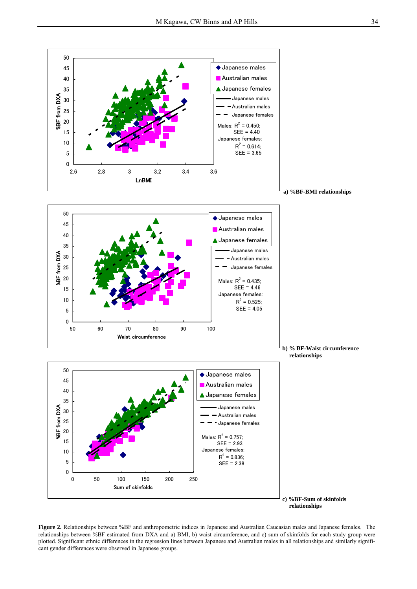

**Figure 2.** Relationships between %BF and anthropometric indices in Japanese and Australian Caucasian males and Japanese females. The relationships between %BF estimated from DXA and a) BMI, b) waist circumference, and c) sum of skinfolds for each study group were plotted. Significant ethnic differences in the regression lines between Japanese and Australian males in all relationships and similarly significant gender differences were observed in Japanese groups.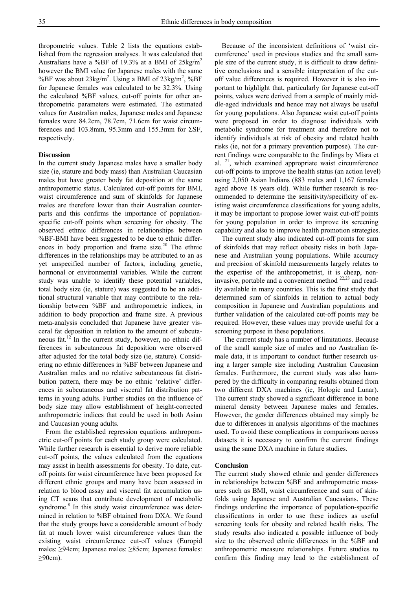thropometric values. Table 2 lists the equations established from the regression analyses. It was calculated that Australians have a %BF of 19.3% at a BMI of  $25\text{kg/m}^2$ however the BMI value for Japanese males with the same %BF was about  $23\text{kg/m}^2$ . Using a BMI of  $23\text{kg/m}^2$ , %BF for Japanese females was calculated to be 32.3%. Using the calculated %BF values, cut-off points for other anthropometric parameters were estimated. The estimated values for Australian males, Japanese males and Japanese females were 84.2cm, 78.7cm, 71.6cm for waist circumferences and 103.8mm, 95.3mm and 155.3mm for ΣSF, respectively.

#### **Discussion**

In the current study Japanese males have a smaller body size (ie, stature and body mass) than Australian Caucasian males but have greater body fat deposition at the same anthropometric status. Calculated cut-off points for BMI, waist circumference and sum of skinfolds for Japanese males are therefore lower than their Australian counterparts and this confirms the importance of populationspecific cut-off points when screening for obesity. The observed ethnic differences in relationships between %BF-BMI have been suggested to be due to ethnic differences in body proportion and frame size. $20$  The ethnic differences in the relationships may be attributed to an as yet unspecified number of factors, including genetic, hormonal or environmental variables. While the current study was unable to identify these potential variables, total body size (ie, stature) was suggested to be an additional structural variable that may contribute to the relationship between %BF and anthropometric indices, in addition to body proportion and frame size. A previous meta-analysis concluded that Japanese have greater visceral fat deposition in relation to the amount of subcutaneous fat.<sup>12</sup> In the current study, however, no ethnic differences in subcutaneous fat deposition were observed after adjusted for the total body size (ie, stature). Considering no ethnic differences in %BF between Japanese and Australian males and no relative subcutaneous fat distribution pattern, there may be no ethnic 'relative' differences in subcutaneous and visceral fat distribution patterns in young adults. Further studies on the influence of body size may allow establishment of height-corrected anthropometric indices that could be used in both Asian and Caucasian young adults.

 From the established regression equations anthropometric cut-off points for each study group were calculated. While further research is essential to derive more reliable cut-off points, the values calculated from the equations may assist in health assessments for obesity. To date, cutoff points for waist circumference have been proposed for different ethnic groups and many have been assessed in relation to blood assay and visceral fat accumulation using CT scans that contribute development of metabolic syndrome.<sup>8</sup> In this study waist circumference was determined in relation to %BF obtained from DXA. We found that the study groups have a considerable amount of body fat at much lower waist circumference values than the existing waist circumference cut-off values (Europid males: ≥94cm; Japanese males: ≥85cm; Japanese females: ≥90cm).

 Because of the inconsistent definitions of 'waist circumference' used in previous studies and the small sample size of the current study, it is difficult to draw definitive conclusions and a sensible interpretation of the cutoff value differences is required. However it is also important to highlight that, particularly for Japanese cut-off points, values were derived from a sample of mainly middle-aged individuals and hence may not always be useful for young populations. Also Japanese waist cut-off points were proposed in order to diagnose individuals with metabolic syndrome for treatment and therefore not to identify individuals at risk of obesity and related health risks (ie, not for a primary prevention purpose). The current findings were comparable to the findings by Misra et al. 21, which examined appropriate waist circumference cut-off points to improve the health status (an action level) using 2,050 Asian Indians (883 males and 1,167 females aged above 18 years old). While further research is recommended to determine the sensitivity/specificity of existing waist circumference classifications for young adults, it may be important to propose lower waist cut-off points for young population in order to improve its screening capability and also to improve health promotion strategies.

 The current study also indicated cut-off points for sum of skinfolds that may reflect obesity risks in both Japanese and Australian young populations. While accuracy and precision of skinfold measurements largely relates to the expertise of the anthropometrist, it is cheap, noninvasive, portable and a convenient method  $22,23$  and readily available in many countries. This is the first study that determined sum of skinfolds in relation to actual body composition in Japanese and Australian populations and further validation of the calculated cut-off points may be required. However, these values may provide useful for a screening purpose in these populations.

 The current study has a number of limitations. Because of the small sample size of males and no Australian female data, it is important to conduct further research using a larger sample size including Australian Caucasian females. Furthermore, the current study was also hampered by the difficulty in comparing results obtained from two different DXA machines (ie, Hologic and Lunar). The current study showed a significant difference in bone mineral density between Japanese males and females. However, the gender differences obtained may simply be due to differences in analysis algorithms of the machines used. To avoid these complications in comparisons across datasets it is necessary to confirm the current findings using the same DXA machine in future studies.

#### **Conclusion**

The current study showed ethnic and gender differences in relationships between %BF and anthropometric measures such as BMI, waist circumference and sum of skinfolds using Japanese and Australian Caucasians. These findings underline the importance of population-specific classifications in order to use these indices as useful screening tools for obesity and related health risks. The study results also indicated a possible influence of body size to the observed ethnic differences in the %BF and anthropometric measure relationships. Future studies to confirm this finding may lead to the establishment of